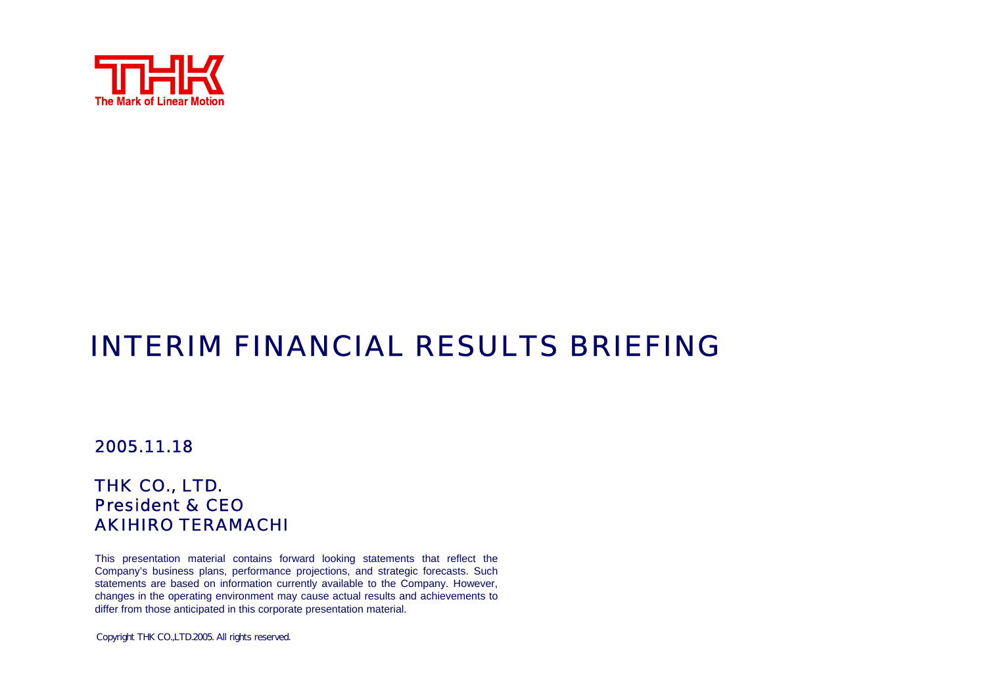

# INTERIM FINANCIAL RESULTS BRIEFING

#### 2005.11.18

#### THK CO., LTD. President & CEOAKIHIRO TERAMACHI

This presentation material contains forward looking statements that reflect the Company's business plans, performance projections, and strategic forecasts. Such statements are based on information currently available to the Company. However, changes in the operating environment may cause actual results and achievements to differ from those anticipated in this corporate presentation material.

Copyright THK CO.,LTD.2005. All rights reserved.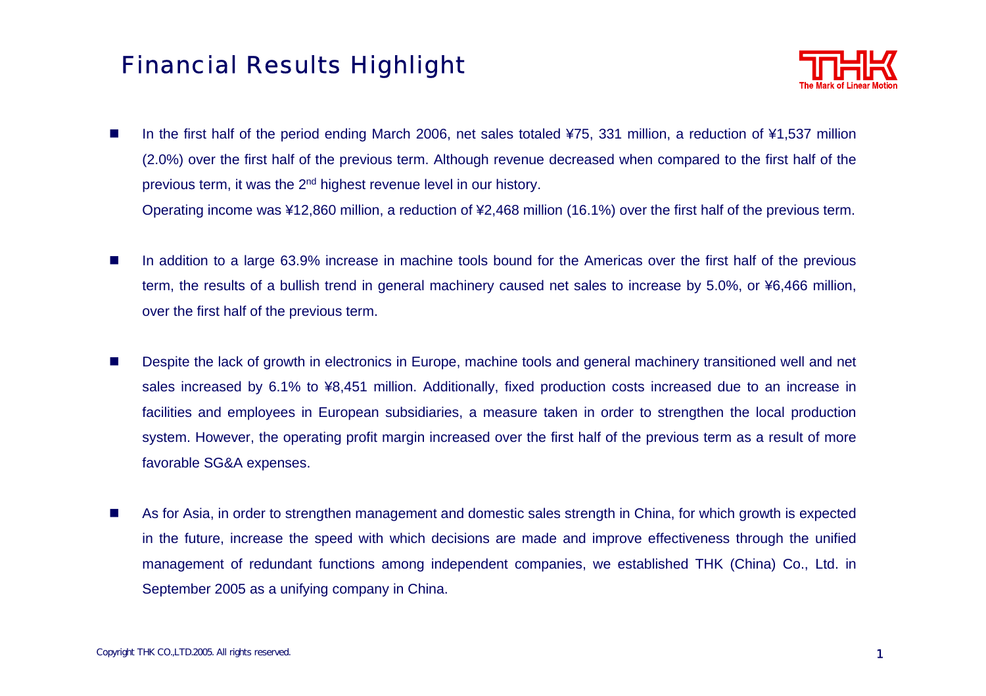#### Financial Results Highlight



**Ta** In the first half of the period ending March 2006, net sales totaled ¥75, 331 million, a reduction of ¥1,537 million (2.0%) over the first half of the previous term. Although revenue decreased when compared to the first half of the previous term, it was the 2n<sup>d</sup> highest revenue level in our history.

Operating income was ¥12,860 million, a reduction of ¥2,468 million (16.1%) over the first half of the previous term.

- $\mathcal{L}_{\mathcal{A}}$  In addition to a large 63.9% increase in machine tools bound for the Americas over the first half of the previous term, the results of a bullish trend in general machinery caused net sales to increase by 5.0%, or ¥6,466 million, over the first half of the previous term.
- $\mathcal{L}^{\mathcal{L}}$  Despite the lack of growth in electronics in Europe, machine tools and general machinery transitioned well and net sales increased by 6.1% to ¥8,451 million. Additionally, fixed production costs increased due to an increase in facilities and employees in European subsidiaries, a measure taken in order to strengthen the local production system. However, the operating profit margin increased over the first half of the previous term as a result of more favorable SG&A expenses.
- $\mathbf{r}$  As for Asia, in order to strengthen management and domestic sales strength in China, for which growth is expected in the future, increase the speed with which decisions are made and improve effectiveness through the unified management of redundant functions among independent companies, we established THK (China) Co., Ltd. in September 2005 as a unifying company in China.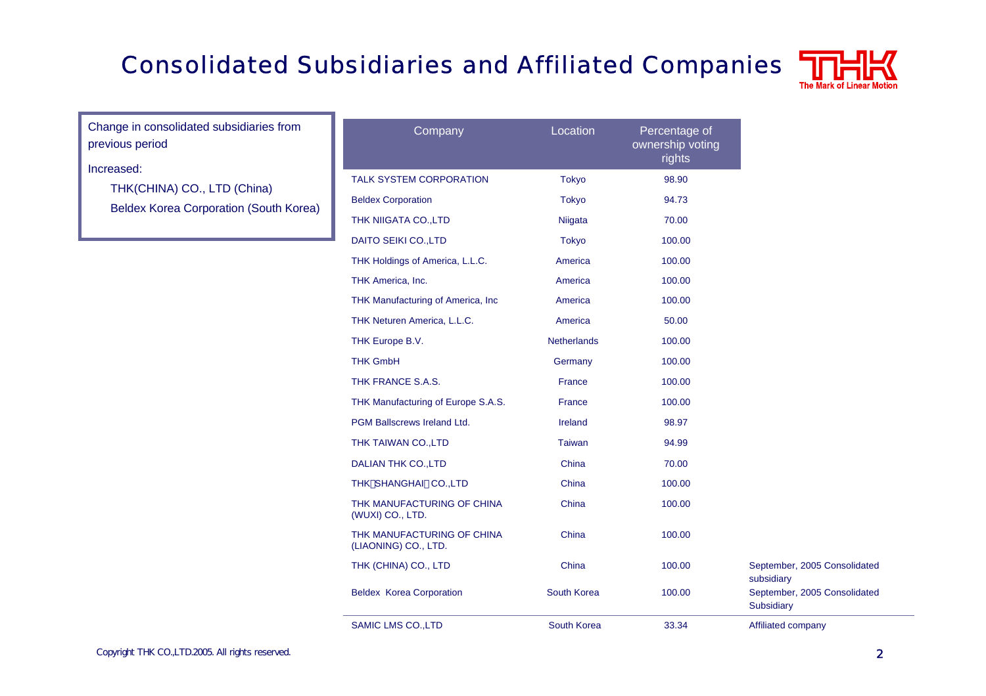## Consolidated Subsidiaries and Affiliated Companies



Change in consolidated subsidiaries from previous period

#### Increased:

THK(CHINA) CO., LTD (China) Beldex Korea Corporation (South Korea)

| Company                                            | Location           | Percentage of<br>ownership voting<br>rights |
|----------------------------------------------------|--------------------|---------------------------------------------|
| <b>TALK SYSTEM CORPORATION</b>                     | <b>Tokyo</b>       | 98.90                                       |
| <b>Beldex Corporation</b>                          | <b>Tokyo</b>       | 94.73                                       |
| THK NIIGATA CO., LTD                               | Niigata            | 70.00                                       |
| DAITO SEIKI CO., LTD                               | <b>Tokyo</b>       | 100.00                                      |
| THK Holdings of America, L.L.C.                    | America            | 100.00                                      |
| THK America, Inc.                                  | America            | 100.00                                      |
| THK Manufacturing of America, Inc                  | America            | 100.00                                      |
| THK Neturen America, L.L.C.                        | America            | 50.00                                       |
| THK Europe B.V.                                    | <b>Netherlands</b> | 100.00                                      |
| <b>THK GmbH</b>                                    | Germany            | 100.00                                      |
| THK FRANCE S.A.S.                                  | France             | 100.00                                      |
| THK Manufacturing of Europe S.A.S.                 | France             | 100.00                                      |
| <b>PGM Ballscrews Ireland Ltd.</b>                 | Ireland            | 98.97                                       |
| THK TAIWAN CO., LTD                                | <b>Taiwan</b>      | 94.99                                       |
| <b>DALIAN THK CO., LTD</b>                         | China              | 70.00                                       |
| THK SHANGHAI CO., LTD                              | China              | 100.00                                      |
| THK MANUFACTURING OF CHINA<br>(WUXI) CO., LTD.     | China              | 100.00                                      |
| THK MANUFACTURING OF CHINA<br>(LIAONING) CO., LTD. | China              | 100.00                                      |
| THK (CHINA) CO., LTD                               | China              | 100.00                                      |
| <b>Beldex Korea Corporation</b>                    | South Korea        | 100.00                                      |
| <b>SAMIC LMS CO., LTD</b>                          | South Korea        | 33.34                                       |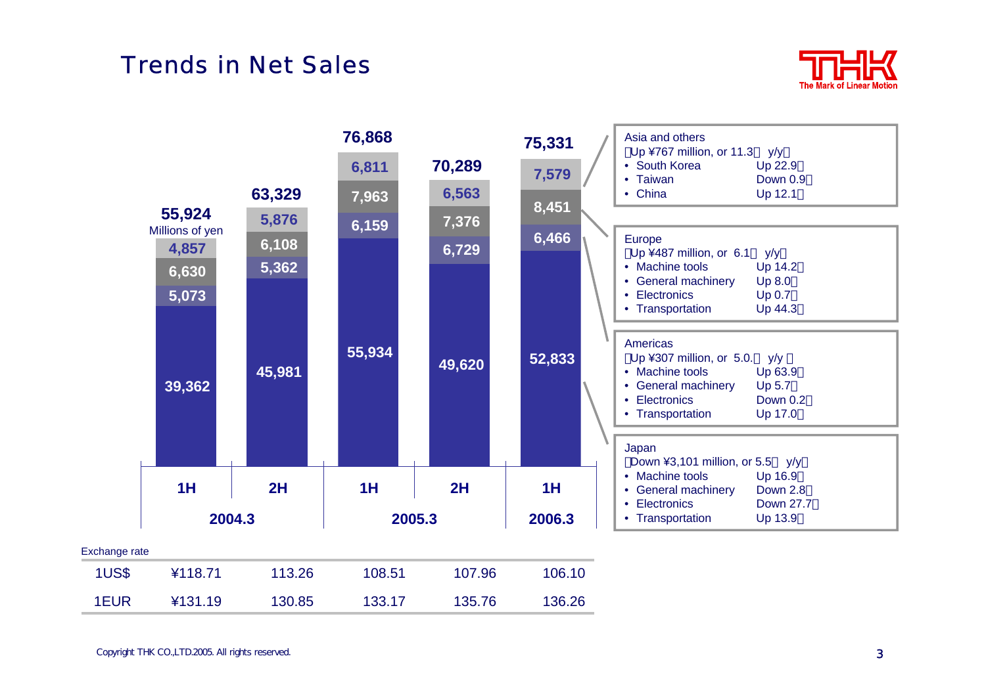#### Trends in Net Sales





| 1US\$ | ¥118.71 | 113.26 | 108.51 | 107.96 | 106.10 |
|-------|---------|--------|--------|--------|--------|
| 1EUR  | ¥131.19 | 130.85 | 133.17 | 135.76 | 136.26 |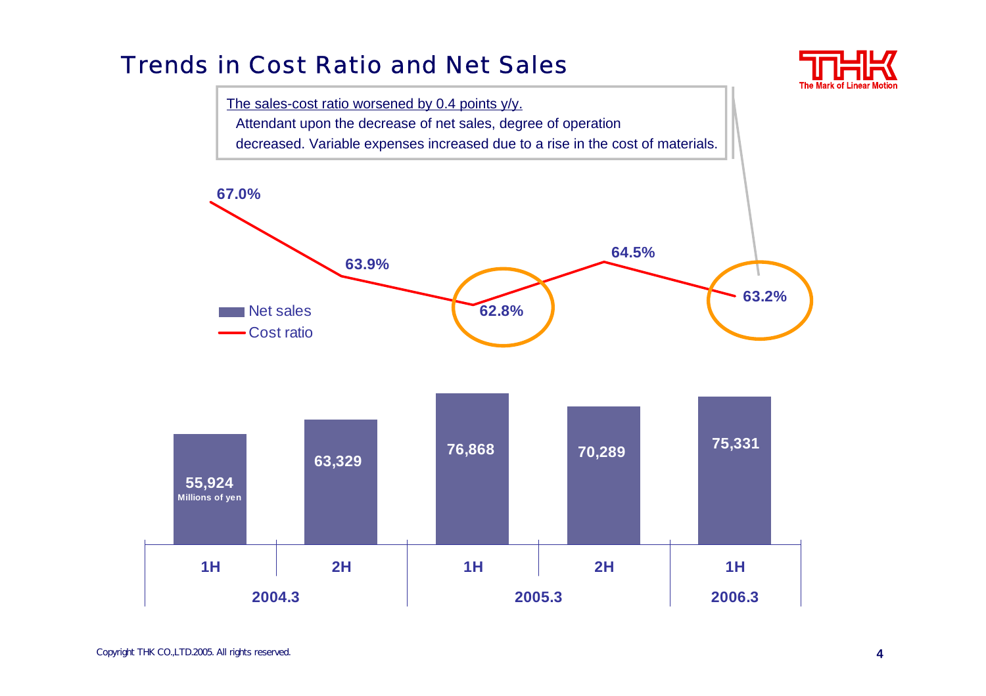#### Trends in Cost Ratio and Net Sales



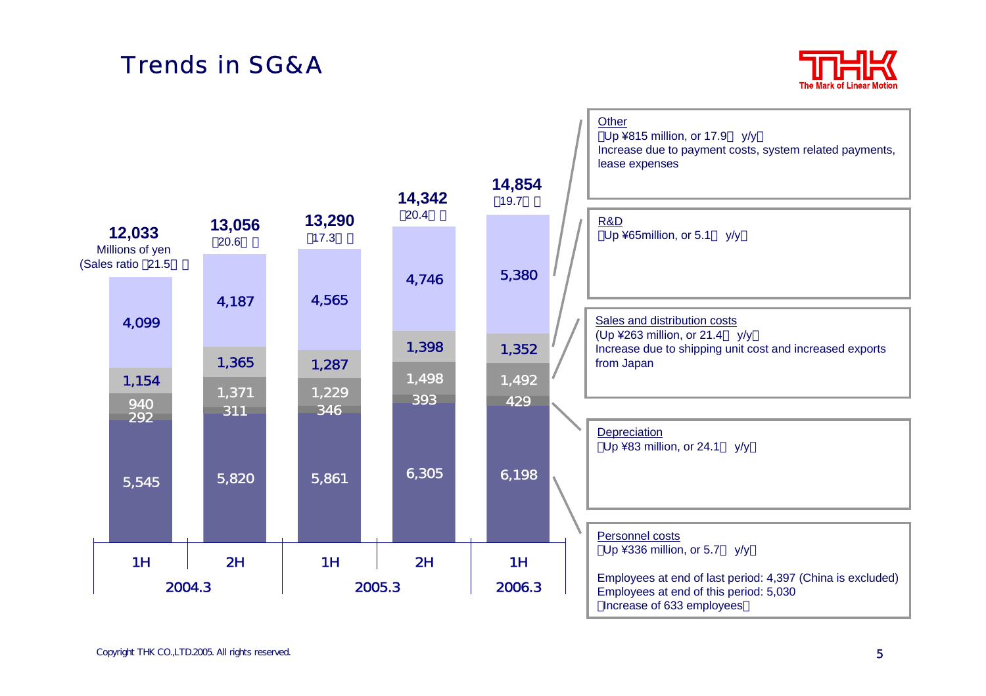#### Trends in SG&A



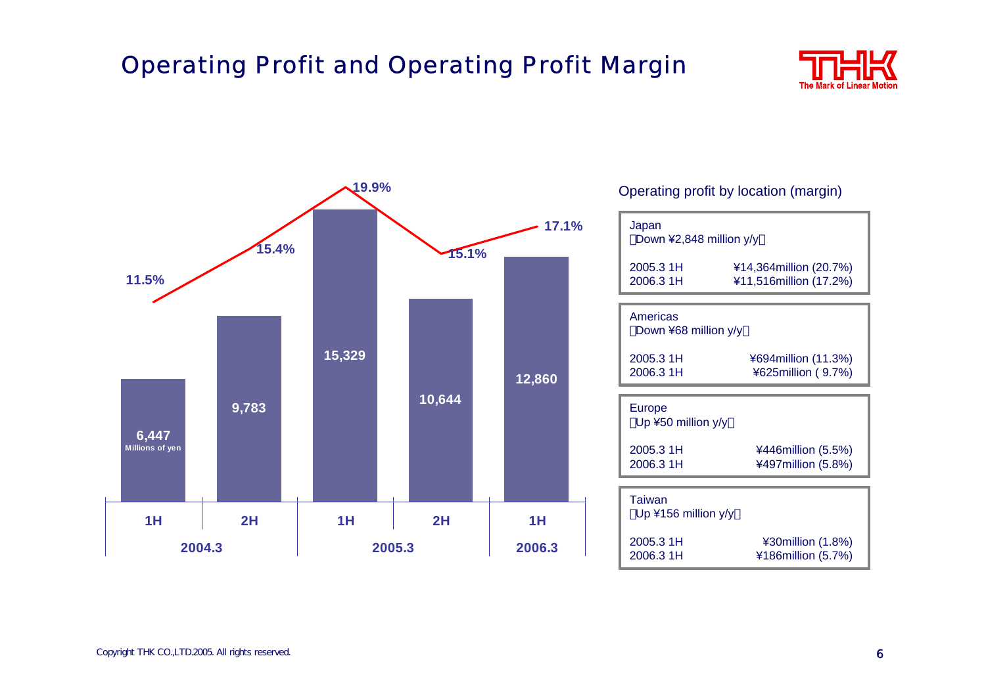## Operating Profit and Operating Profit Margin





#### Copyright THK CO.,LTD.2005. All rights reserved. **6**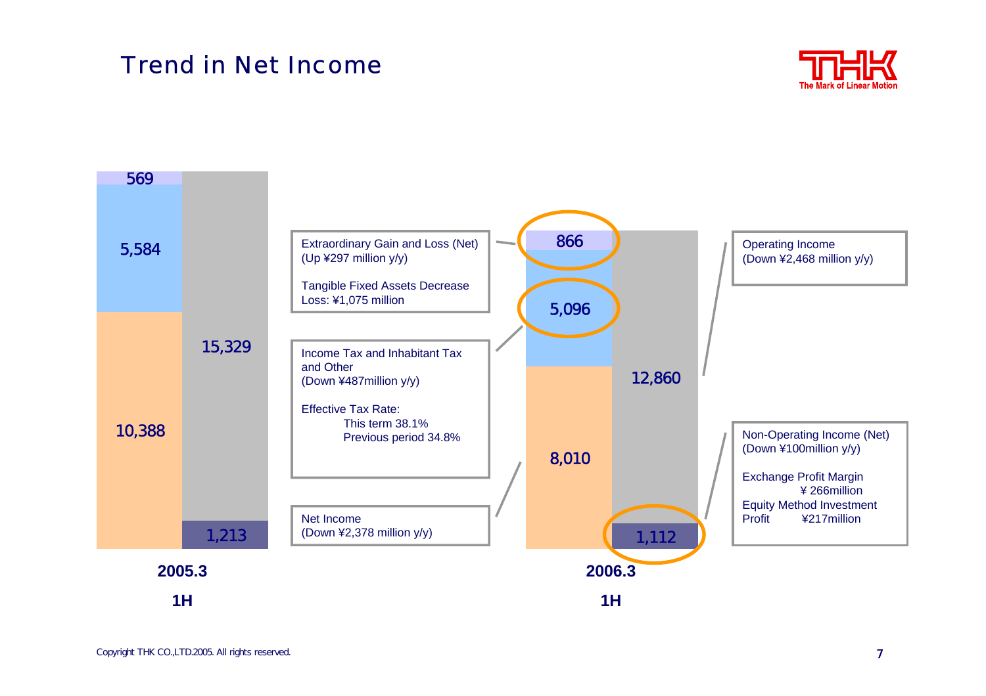#### Trend in Net Income



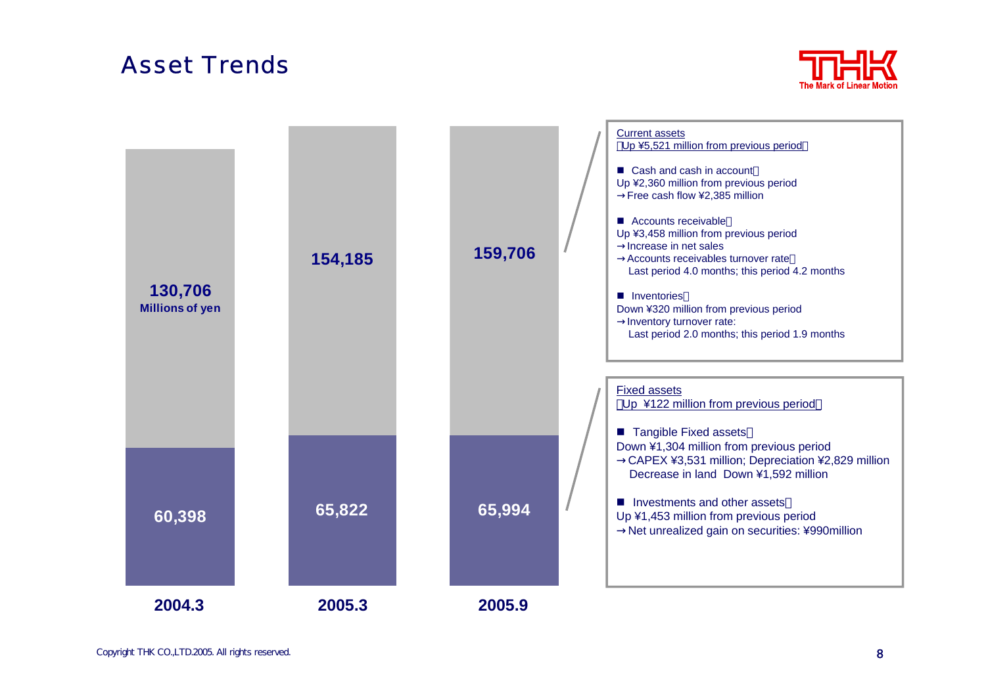#### Asset Trends



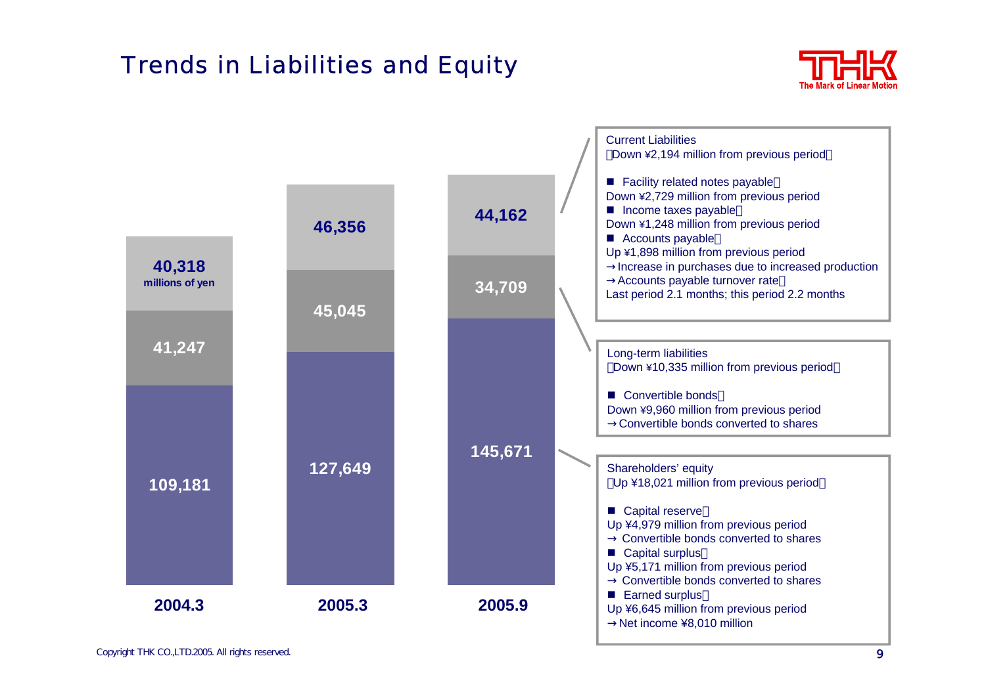## Trends in Liabilities and Equity



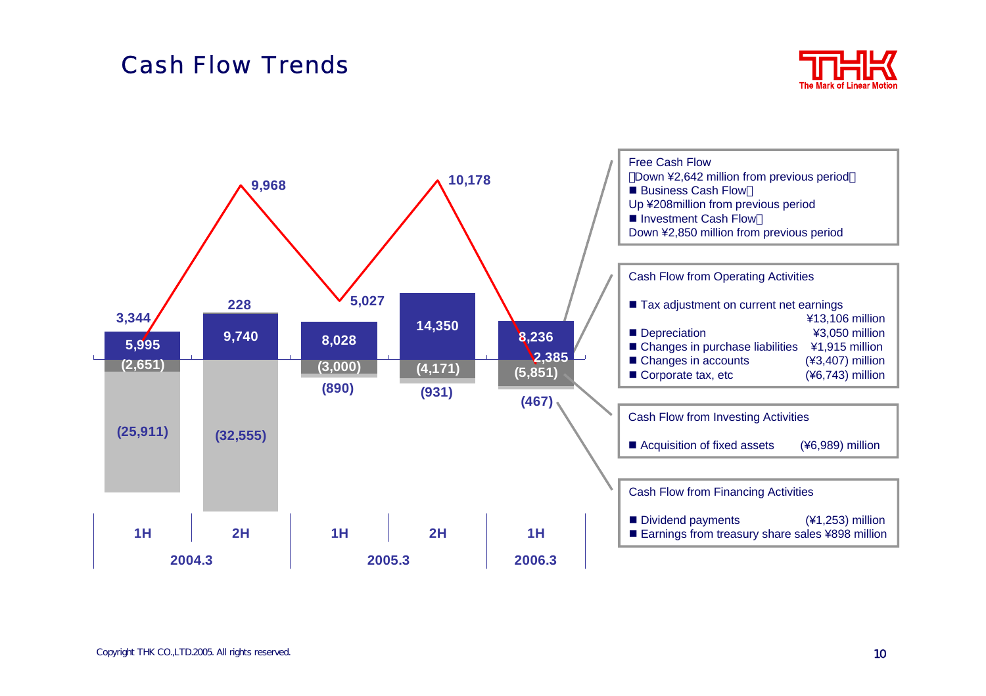#### Cash Flow Trends